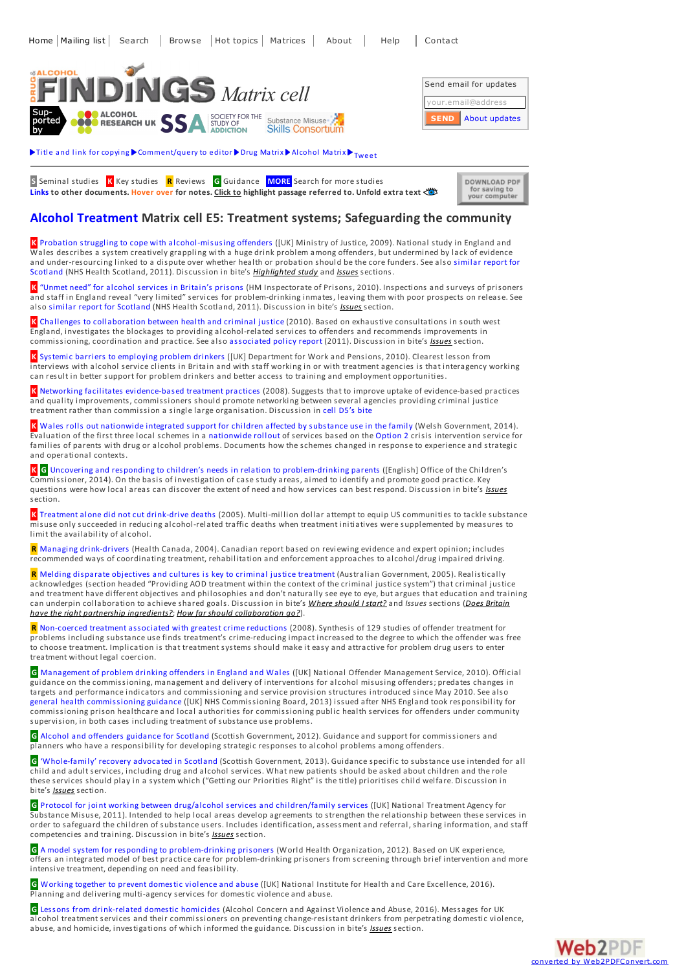

Title and link for [copying](javascript:;)  $\blacktriangleright$  [Comment/query](mailto:editor@findings.org.uk?Subject=Findings entry: Alcohol Treatment Matrix cell E5: Treatment systems; Safeguarding the community&body=Dear Editor%0A%0ARegarding the Findings document:%0AAlcohol Treatment Matrix cell E5: Treatment systems; Safeguarding the community%0Aat:%0Ahttp://findings.org.uk/PHP/dl.php?file=Matrix/Alcohol/E5.htm%0A%0AI would appreciate your response to this comment/query:%0A[Enter your comment/query here]) to editor  $\blacktriangleright$  Drug [Matrix](http://findings.org.uk/PHP/dl.php?file=dmatrix.php)  $\blacktriangleright$  [Alcohol](http://findings.org.uk/PHP/dl.php?file=amatrix.php) Matrix  $\blacktriangleright_{\text{Twoet}}$ 

**S** Seminal studies **K** Key studies **R** Reviews **G** Guidance **MORE** Search for more studies **Links to other documents. Hover over for notes. Click to highlight passage referred to. Unfold extra text**

| DOWNLOAD PDF  |  |
|---------------|--|
| for saving to |  |
|               |  |
| your computer |  |

## **Alcohol [Treatment](http://findings.org.uk/PHP/dl.php?file=amatrix.php) Matrix cell E5: Treatment systems; Safeguarding the community**

**K** Probation struggling to cope with [alcohol-misusing](http://findings.org.uk/PHP/dl.php?file=McSweeney_T_8.txt&s=eb&sf=mx) offenders ([UK] Ministry of Justice, 2009). National study in England and Wales describes a system creatively grappling with a huge drink problem among offenders, but undermined by lack of evidence and [under-resourcing](http://findings.org.uk/PHP/dl.php?file=McCoard_S_2.cab&s=eb&sf=mx) linked to a dispute over whether health or probation should be the core funders. See also similar report for Scotland (NHS Health Scotland, 2011). Discussion in bite's *[Highlighted](javascript:;) study* and *[Issues](javascript:;)* sections.

**K** "Unmet need" for alcohol services in [Britain's](http://findings.org.uk/PHP/dl.php?file=HM_Inspectorate_of_Prisons_1.cab&s=eb&sf=mx) prisons (HM Inspectorate of Prisons, 2010). Inspections and surveys of prisoners and staff in England reveal "very limited" services for problem-drinking inmates, leaving them with poor prospects on release. See also similar report for [Scotland](http://findings.org.uk/PHP/dl.php?file=Parkes_T_1.cab&s=eb&sf=mx) (NHS Health Scotland, 2011). Discussion in bite's *[Issues](javascript:;)* section.

**K** Challenges to [collaboration](http://findings.org.uk/PHP/dl.php?file=Fitzpatrick_R_1.cab&s=eb&sf=mx) between health and criminal justice (2010). Based on exhaustive consultations in south west England, investigates the blockages to providing alcohol-related services to offenders and recommends improvements in commissioning, coordination and practice. See also [associated](https://www.centreformentalhealth.org.uk/a-label-for-exclusion) policy report (2011). Discussion in bite's *[Issues](javascript:;)* section.

**K** Systemic barriers to [employing](http://findings.org.uk/PHP/dl.php?file=Bauld_L_4.cab&s=eb&sf=mx) problem drinkers ([UK] Department for Work and Pensions, 2010). Clearest lesson from interviews with alcohol service clients in Britain and with staff working in or with treatment agencies is that interagency working can result in better support for problem drinkers and better access to training and employment opportunities.

**K** Networking facilitates [evidence-based](http://www.ncbi.nlm.nih.gov/pmc/articles/PMC2293644/) treatment practices (2008). Suggests that to improve uptake of evidence-based practices and quality improvements, commissioners should promote networking between several agencies providing criminal justice treatment rather than commission a single large organisation. Discussion in cell [D5's](http://findings.org.uk/PHP/dl.php?file=Matrix/Alcohol/D5.htm&s=eb&format=open#issue1) bite

**K** Wales rolls out [nationwide](http://www.sqw.co.uk/files/1913/9766/2379/IFSS_Year_3_Final_Report.pdf) integrated support for children affected by substance use in the family (Welsh Government, 2014). Evaluation of the first three local schemes in a [nationwide](http://gov.wales/topics/health/socialcare/working/ifst/?lang=en) rollout of services based on the [Option](http://findings.org.uk/PHP/dl.php?file=Forrester_D_5.txt&s=eb&sf=mx) 2 crisis intervention service for families of parents with drug or alcohol problems. Documents how the schemes changed in response to experience and strategic and operational contexts.

**K G** Uncovering and responding to children's needs in relation to [problem-drinking](https://www.basw.co.uk/resource/?id=3558) parents ([English] Office of the Children's Commissioner, 2014). On the basis of investigation of case study areas, aimed to identify and promote good practice. Key questions were how local areas can discover the extent of need and how services can best respond. Discussion in bite's *[Issues](javascript:;)* section.

**K** Treatment alone did not cut [drink-drive](http://findings.org.uk/PHP/dl.php?file=nug_13_10.pdf&s=eb&sf=mx) deaths (2005). Multi-million dollar attempt to equip US communities to tackle substance misuse only succeeded in reducing alcohol-related traffic deaths when treatment initiatives were supplemented by measures to limit the availability of alcohol.

**R** Managing [drink-drivers](http://www.hc-sc.gc.ca/hc-ps/pubs/adp-apd/bp_treatment-mp_traitement/index-eng.php) (Health Canada, 2004). Canadian report based on reviewing evidence and expert opinion; includes recommended ways of coordinating treatment, rehabilitation and enforcement approaches to alcohol/drug impaired driving.

**R** Melding disparate [objectives](http://docs.health.vic.gov.au/docs/doc/Alcohol-and-Other-Drug-Treatment-within-the-Context-of-the-Criminal-Justice-System---A-Review-of-the-Literature-February---2005) and cultures is key to criminal justice treatment (Australian Government, 2005). Realistically acknowledges (section headed "Providing AOD treatment within the context of the criminal justice system") that criminal justice and treatment have different objectives and philosophies and don't naturally see eye to eye, but argues that education and training can underpin [collaboration](javascript:;) to achieve shared goals. Discussion in bite's *Where [should](javascript:;) I start?* and *Issues* sections (*Does Britain have the right partnership ingredients?*; *How far should [collaboration](javascript:;) go?*).

**R** [Non-coerced](http://findings.org.uk/PHP/dl.php?file=Parhar_KK_1.txt&s=eb&sf=mx) treatment associated with greatest crime reductions (2008). Synthesis of 129 studies of offender treatment for problems including substance use finds treatment's crime-reducing impact increased to the degree to which the offender was free to choose treatment. Implication is that treatment systems should make it easy and attractive for problem drug users to enter treatment without legal coercion.

**G** [Management](http://www.alcoholpolicy.net/2010/02/noms-alcohol-interventions-guidance-.html) of problem drinking offenders in England and Wales ([UK] National Offender Management Service, 2010). Official guidance on the commissioning, management and delivery of interventions for alcohol misusing offenders; predates changes in targets and performance indicators and commissioning and service provision structures introduced since May 2010. See also general health [commissioning](https://www.england.nhs.uk/2013/03/offender-health/) guidance ([UK] NHS Commissioning Board, 2013) issued after NHS England took responsibility for commissioning prison healthcare and local authorities for commissioning public health services for offenders under community supervision, in both cases including treatment of substance use problems.

**G** Alcohol and [offenders](http://www.scotland.gov.uk/Topics/Health/Services/Alcohol/treatment/offenders-guidance) guidance for Scotland (Scottish Government, 2012). Guidance and support for commissioners and planners who have a responsibility for developing strategic responses to alcohol problems among offenders.

**G** ['Whole-family'](http://www.scotland.gov.uk/Publications/2013/04/2305/0) recovery advocated in Scotland (Scottish Government, 2013). Guidance specific to substance use intended for all child and adult services, including drug and alcohol services. What new patients should be asked about children and the role these services should play in a system which ("Getting our Priorities Right" is the title) prioritises child welfare. Discussion in bite's *[Issues](javascript:;)* section.

**G** Protocol for joint working between drug/alcohol services and [children/family](http://www.nta.nhs.uk/families-supporting-information-June-2011.aspx) services ([UK] National Treatment Agency for Substance Misuse, 2011). Intended to help local areas develop agreements to strengthen the relationship between these services in order to safeguard the children of substance users. Includes identification, assessment and referral, sharing information, and staff competencies and training. Discussion in bite's *[Issues](javascript:;)* section.

**G** A model system for responding to [problem-drinking](http://findings.org.uk/PHP/dl.php?file=Graham_L_4.txt&s=eb&sf=mx) prisoners (World Health Organization, 2012). Based on UK experience, offers an integrated model of best practice care for problem-drinking prisoners from screening through brief intervention and more intensive treatment, depending on need and feasibility.

**G** Working together to prevent [domestic](https://www.nice.org.uk/guidance/ph50) violence and abuse ([UK] National Institute for Health and Care Excellence, 2016). Planning and delivering multi-agency services for domestic violence and abuse.

**G** Lessons from [drink-related](http://avaproject.org.uk/guidance-domestic-abuse-change-resistant-drinkers/) domestic homicides (Alcohol Concern and Against Violence and Abuse, 2016). Messages for UK alcohol treatment services and their commissioners on preventing change-resistant drinkers from perpetrating domestic violence, abuse, and homicide, investigations of which informed the guidance. Discussion in bite's *[Issues](javascript:;)* section.

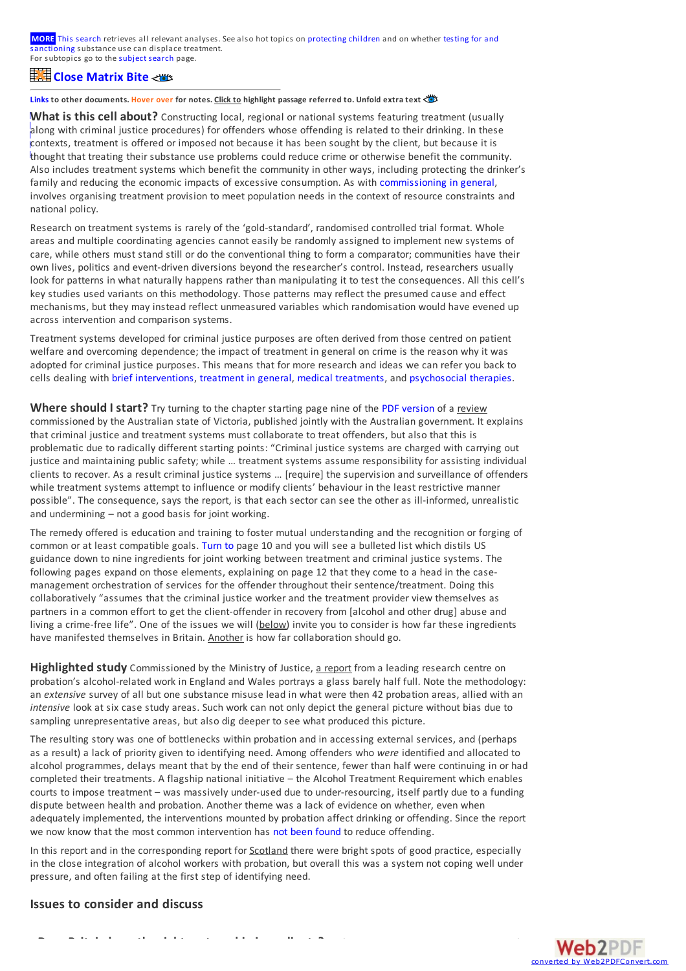**MORE** This [search](http://findings.org.uk/topic_results.php?allCodes%5B%5D=M2.1x+M2.2x+M2.3x+M2.4x+M2.5x+M2.7x+M2.9x+M2.6x+commissioning+population+phlthx+coordination+needs+cost+fees+%2111.+%218.5+%218.6+%21prison+%21probation+%21coerced+%21protection&othfeat%5B%5D=treatment&substance%5B%5D=5.5x&source=matrix_search&sortBy=DateAdded&s=eb&sf=mx) retrieves all relevant analyses. See also hot topics on [protecting](http://findings.org.uk/PHP/dl.php?file=child_protect.hot&s=eb&sf=mx) children and on whether testing for and [sanctioning](http://findings.org.uk/PHP/dl.php?file=test_and_sanction.hot&s=eb&sf=mx) substance use can displace treatment. For subtopics go to the [subject](http://findings.org.uk/topic_search.htm?s=eb&sf=mx) search page.

## **OClpoesne [Matrix](javascript:;) Bite guide to this cell**

Links to other documents. <mark>Hover over</mark> for notes. <u>Click to</u> highlight passage referred to. Unfold extra text

What is this cell about? Constructing local, regional or national systems featuring treatment (usually Suggest and the contract to the mass of the translation of the translation of the translation of the translation of the translation of the translation of the translation of the translation of the translation of the transla along with criminal justice procedures) for offenders whose offending is related to their drinking. In these contexts, treatment is [offered](http://findings.org.uk/index.php) or imposed not because it has been sought by the client, but because it is thought that treating their substance use problems could reduce crime or otherwise benefit the community. Also includes treatment systems which benefit the community in other ways, including protecting the drinker's family and reducing the economic impacts of excessive consumption. As with [commissioning](http://findings.org.uk/PHP/dl.php?file=Matrix/Alcohol/E2.htm&s=eb) in general, involves organising treatment provision to meet population needs in the context of resource constraints and national policy.

Research on treatment systems is rarely of the 'gold-standard', randomised controlled trial format. Whole areas and multiple coordinating agencies cannot easily be randomly assigned to implement new systems of care, while others must stand still or do the conventional thing to form a comparator; communities have their own lives, politics and event-driven diversions beyond the researcher's control. Instead, researchers usually look for patterns in what naturally happens rather than manipulating it to test the consequences. All this cell's key studies used variants on this methodology. Those patterns may reflect the presumed cause and effect mechanisms, but they may instead reflect unmeasured variables which randomisation would have evened up across intervention and comparison systems.

Treatment systems developed for criminal justice purposes are often derived from those centred on patient welfare and overcoming dependence; the impact of treatment in general on crime is the reason why it was adopted for criminal justice purposes. This means that for more research and ideas we can refer you back to cells dealing with brief [interventions](http://findings.org.uk/PHP/dl.php?file=Matrix/Alcohol/E1.htm&s=eb), [treatment](http://findings.org.uk/PHP/dl.php?file=Matrix/Alcohol/E2.htm&s=eb) in general, medical [treatments](http://findings.org.uk/PHP/dl.php?file=Matrix/Alcohol/E3.htm&s=eb), and [psychosocial](http://findings.org.uk/PHP/dl.php?file=Matrix/Alcohol/E4.htm&s=eb) therapies.

Where should I start? Try turning to the chapter starting page nine of the PDF [version](https://www2.health.vic.gov.au/Api/downloadmedia/%7B397A92AC-1B45-48CA-AFBF-D63CD173C418%7D) of a review commissioned by the Australian state of Victoria, published jointly with the Australian government. It explains that criminal justice and treatment systems must collaborate to treat offenders, but also that this is problematic due to radically different starting points: "Criminal justice systems are charged with carrying out justice and maintaining public safety; while ... treatment systems assume responsibility for assisting individual clients to recover. As a result criminal justice systems … [require] the supervision and surveillance of offenders while treatment systems attempt to influence or modify clients' behaviour in the least restrictive manner possible". The consequence, says the report, is that each sector can see the otheras ill-informed, unrealistic and undermining – not a good basis for joint working.

The remedy offered is education and training to foster mutual understanding and the recognition or forging of common orat least compatible goals. [Turn](https://www2.health.vic.gov.au/Api/downloadmedia/%7B397A92AC-1B45-48CA-AFBF-D63CD173C418%7D) to page 10 and you will see a bulleted list which distils US guidance down to nine ingredients for joint working between treatment and criminal justice systems. The following pages expand on those elements, explaining on page 12 that they come to a head in the casemanagement orchestration of services for the offender throughout their sentence/treatment. Doing this collaboratively "assumes that the criminal justice workerand the treatment provider view themselves as partners in a common effort to get the client-offender in recovery from [alcohol and other drug] abuse and living a crime-free life". One of the issues we will (below) invite you to consider is how far these ingredients have manifested themselves in Britain. Another is how far collaboration should go.

**Highlighted study** Commissioned by the Ministry of Justice, a report from a leading research centre on probation's alcohol-related work in England and Wales portrays a glass barely half full. Note the methodology: an *extensive* survey of all but one substance misuse lead in what were then 42 probation areas, allied with an *intensive* look at six case study areas. Such work can not only depict the general picture without bias due to sampling unrepresentative areas, but also dig deeper to see what produced this picture.

The resulting story was one of bottlenecks within probation and in accessing external services, and (perhaps as a result) a lack of priority given to identifying need. Among offenders who *were* identified and allocated to alcohol programmes, delays meant that by the end of their sentence, fewer than half were continuing in or had completed their treatments. A flagship national initiative – the Alcohol Treatment Requirement which enables courts to impose treatment – was massively under-used due to under-resourcing, itself partly due to a funding dispute between health and probation. Another theme was a lack of evidence on whether, even when adequately implemented, the interventions mounted by probation affect drinking or offending. Since the report we now know that the most common intervention has not been [found](http://findings.org.uk/PHP/dl.php?file=Palmer_E_2.txt&s=eb&sf=mx) to reduce offending.

In this report and in the corresponding report for **Scotland** there were bright spots of good practice, especially in the close integration of alcohol workers with probation, but overall this was a system not coping well under pressure, and often failing at the first step of identifying need.

## **Issues to consider and discuss**

**Does Britain have the right partnership ingredients?**Look again at our starting point review and

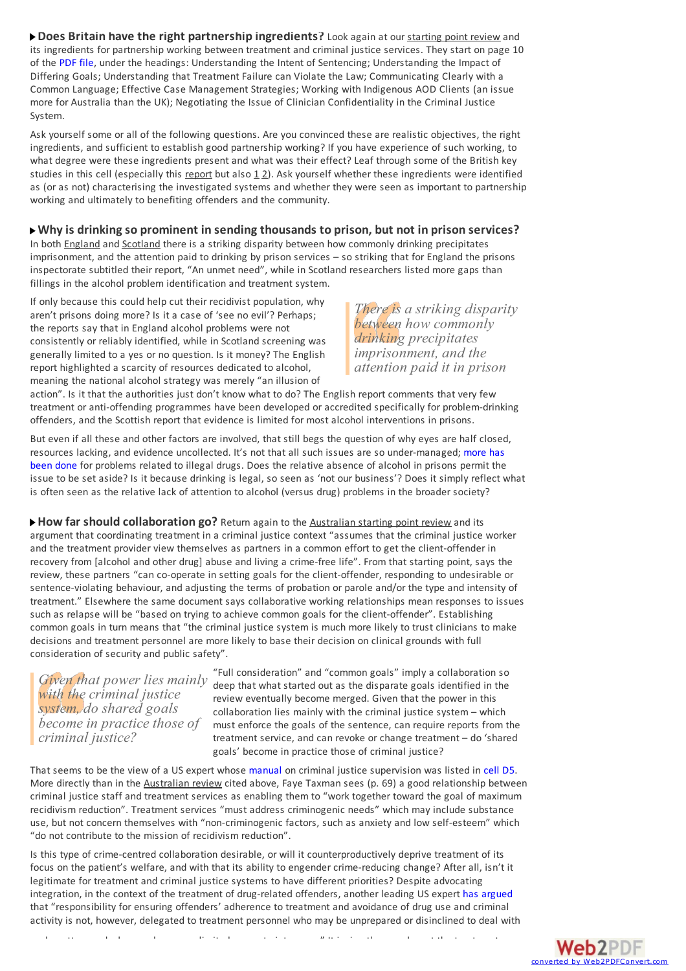**Does Britain have the right partnership ingredients?**Look again at our starting point review and its ingredients for partnership working between treatment and criminal justice services. They start on page 10 of the [PDF](https://www2.health.vic.gov.au/Api/downloadmedia/%7B397A92AC-1B45-48CA-AFBF-D63CD173C418%7D) file, under the headings: Understanding the Intent of Sentencing; Understanding the Impact of Differing Goals; Understanding that Treatment Failure can Violate the Law; Communicating Clearly with a Common Language; Effective Case Management Strategies; Working with Indigenous AOD Clients (an issue more for Australia than the UK); Negotiating the Issue of Clinician Confidentiality in the Criminal Justice System.

Ask yourself some orall of the following questions. Are you convinced these are realistic objectives, the right ingredients, and sufficient to establish good partnership working? If you have experience of such working, to what degree were these ingredients present and what was their effect? Leaf through some of the British key studies in this cell (especially this report but also  $1/2$ ). Ask yourself whether these ingredients were identified as (or as not) characterising the investigated systems and whether they were seen as important to partnership working and ultimately to benefiting offenders and the community.

## **Whyis drinkingso prominent in sendingthousands to prison, but not in prison services?**

In both England and Scotland there is a striking disparity between how commonly drinking precipitates imprisonment, and the attention paid to drinking by prison services - so striking that for England the prisons inspectorate subtitled their report, "An unmet need", while in Scotland researchers listed more gaps than fillings in the alcohol problem identification and treatment system.

If only because this could help cut their recidivist population, why aren't prisons doing more? Is it a case of 'see no evil'? Perhaps; the reports say that in England alcohol problems were not consistently or reliably identified, while in Scotland screening was generally limited to a yes or no question. Is it money? The English report highlighted a scarcity of resources dedicated to alcohol, meaning the national alcohol strategy was merely "an illusion of

*There is a striking disparity between how commonly drinking precipitates imprisonment, and the attention paid it in prison*

action". Is it that the authorities just don't know what to do? The English report comments that very few treatment oranti-offending programmes have been developed oraccredited specifically for problem-drinking offenders, and the Scottish report that evidence is limited for most alcohol interventions in prisons.

But even if all these and other factors are involved, that still begs the question of why eyes are half closed, resources lacking, and evidence uncollected. It's not that all such issues are so [under-managed;](http://cdn.basw.co.uk/upload/basw_125144-5.pdf) more has been done for problems related to illegal drugs. Does the relative absence of alcohol in prisons permit the issue to be set aside? Is it because drinking is legal, so seen as 'not our business'? Does it simply reflect what is often seen as the relative lack of attention to alcohol (versus drug) problems in the broader society?

**How far should collaboration go?** Return again to the Australian starting point review and its argument that coordinating treatment in a criminal justice context "assumes that the criminal justice worker and the treatment provider view themselves as partners in a common effort to get the client-offender in recovery from [alcohol and other drug] abuse and living a crime-free life". From that starting point, says the review, these partners "can co-operate in setting goals for the client-offender, responding to undesirable or sentence-violating behaviour, and adjusting the terms of probation or parole and/or the type and intensity of treatment." Elsewhere the same document says collaborative working relationships mean responses to issues such as relapse will be "based on trying to achieve common goals for the client-offender". Establishing common goals in turn means that "the criminal justice system is much more likely to trust clinicians to make decisions and treatment personnel are more likely to base their decision on clinical grounds with full consideration of security and public safety".

*Given that power lies mainly with the criminal justice system, do shared goals become in practice those of criminal justice?*

"Full consideration" and "common goals" imply a collaboration so deep that what started out as the disparate goals identified in the review eventually become merged. Given that the power in this collaboration lies mainly with the criminal justice system – which must enforce the goals of the sentence, can require reports from the treatment service, and can revoke or change treatment – do 'shared goals' become in practice those of criminal justice?

That seems to be the view of a US expert whose [manual](http://www.nicic.org/pubs/2004/020095.pdf) on criminal justice supervision was listed in [cell](http://findings.org.uk/PHP/dl.php?file=Matrix/Alcohol/D5.htm&s=eb) D5. More directly than in the Australian review cited above, Faye Taxman sees (p. 69) a good relationship between criminal justice staff and treatment services as enabling them to "work together toward the goal of maximum recidivism reduction". Treatment services "must address criminogenic needs" which may include substance use, but not concern themselves with "non-criminogenic factors, such as anxiety and low self-esteem" which "do not contribute to the mission of recidivism reduction".

Is this type of crime-centred collaboration desirable, or will it counterproductively deprive treatment of its focus on the patient's welfare, and with that its ability to engender crime-reducing change? Afterall, isn't it legitimate for treatment and criminal justice systems to have different priorities? Despite advocating integration, in the context of the treatment of drug-related offenders, another leading US expert has [argued](http://digitalcommons.law.villanova.edu/cgi/viewcontent.cgi?article=1381&context=vlr) that "responsibility for ensuring offenders' adherence to treatment and avoidance of drug use and criminal activity is not, however, delegated to treatment personnel who may be unprepared or disinclined to deal with

such matters and who may have very limited power to intervene." It is, in other words, not the treatment